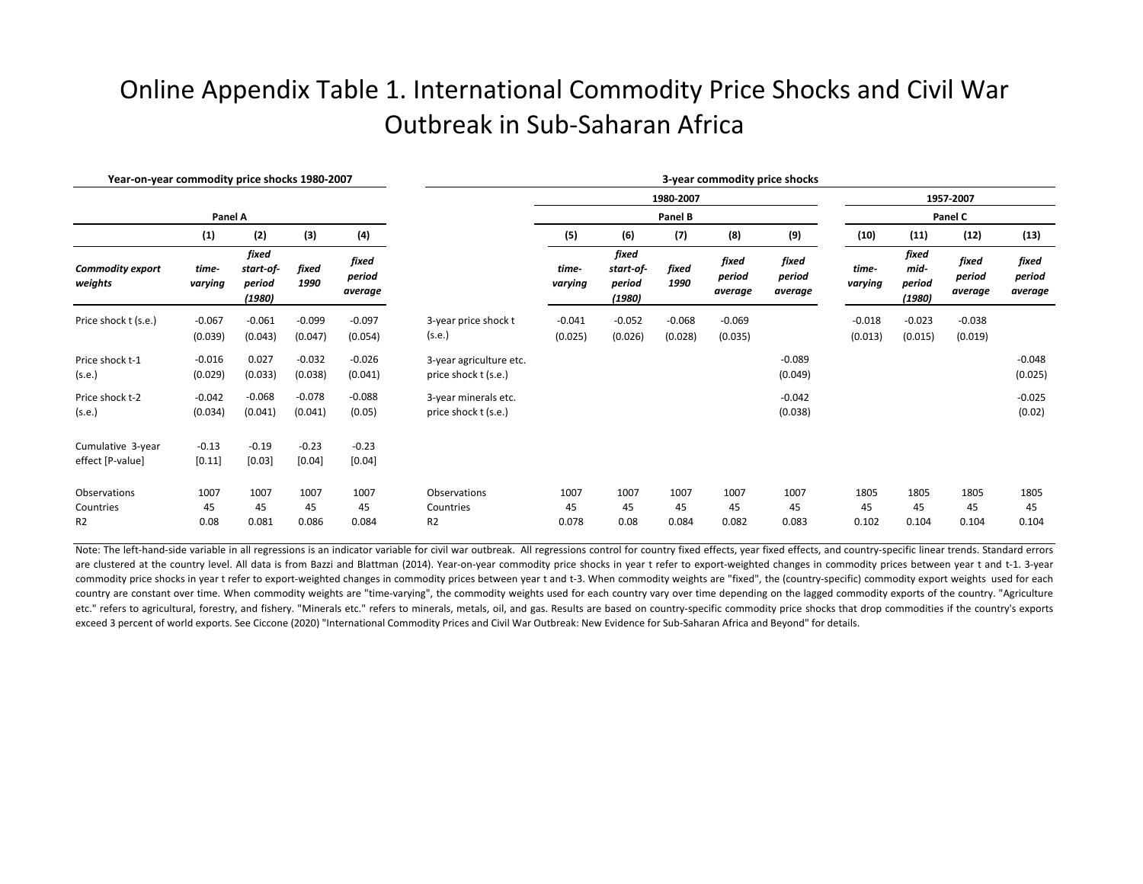## Online Appendix Table 1. International Commodity Price Shocks and Civil War Outbreak in Sub-Saharan Africa

| Year-on-year commodity price shocks 1980-2007 |                  |                                        |               |                            | 3-year commodity price shocks |                      |                                        |               |                            |                            |                      |                                   |                            |                            |  |
|-----------------------------------------------|------------------|----------------------------------------|---------------|----------------------------|-------------------------------|----------------------|----------------------------------------|---------------|----------------------------|----------------------------|----------------------|-----------------------------------|----------------------------|----------------------------|--|
|                                               |                  |                                        |               |                            |                               | 1980-2007<br>Panel B |                                        |               |                            |                            | 1957-2007<br>Panel C |                                   |                            |                            |  |
|                                               | Panel A          |                                        |               |                            |                               |                      |                                        |               |                            |                            |                      |                                   |                            |                            |  |
|                                               | (1)              | (2)                                    | (3)           | (4)                        |                               | (5)                  | (6)                                    | (7)           | (8)                        | (9)                        | (10)                 | (11)                              | (12)                       | (13)                       |  |
| <b>Commodity export</b><br>weights            | time-<br>varying | fixed<br>start-of-<br>period<br>(1980) | fixed<br>1990 | fixed<br>period<br>average |                               | time-<br>varying     | fixed<br>start-of-<br>period<br>(1980) | fixed<br>1990 | fixed<br>period<br>average | fixed<br>period<br>average | time-<br>varying     | fixed<br>mid-<br>period<br>(1980) | fixed<br>period<br>average | fixed<br>period<br>average |  |
| Price shock t (s.e.)                          | $-0.067$         | $-0.061$                               | $-0.099$      | $-0.097$                   | 3-year price shock t          | $-0.041$             | $-0.052$                               | $-0.068$      | $-0.069$                   |                            | $-0.018$             | $-0.023$                          | $-0.038$                   |                            |  |
|                                               | (0.039)          | (0.043)                                | (0.047)       | (0.054)                    | (s.e.)                        | (0.025)              | (0.026)                                | (0.028)       | (0.035)                    |                            | (0.013)              | (0.015)                           | (0.019)                    |                            |  |
| Price shock t-1                               | $-0.016$         | 0.027                                  | $-0.032$      | $-0.026$                   | 3-year agriculture etc.       |                      |                                        |               |                            | $-0.089$                   |                      |                                   |                            | $-0.048$                   |  |
| (s.e.)                                        | (0.029)          | (0.033)                                | (0.038)       | (0.041)                    | price shock t (s.e.)          |                      |                                        |               |                            | (0.049)                    |                      |                                   |                            | (0.025)                    |  |
| Price shock t-2                               | $-0.042$         | $-0.068$                               | $-0.078$      | $-0.088$                   | 3-year minerals etc.          |                      |                                        |               |                            | $-0.042$                   |                      |                                   |                            | $-0.025$                   |  |
| (s.e.)                                        | (0.034)          | (0.041)                                | (0.041)       | (0.05)                     | price shock t (s.e.)          |                      |                                        |               |                            | (0.038)                    |                      |                                   |                            | (0.02)                     |  |
| Cumulative 3-year                             | $-0.13$          | $-0.19$                                | $-0.23$       | $-0.23$                    |                               |                      |                                        |               |                            |                            |                      |                                   |                            |                            |  |
| effect [P-value]                              | [0.11]           | [0.03]                                 | [0.04]        | [0.04]                     |                               |                      |                                        |               |                            |                            |                      |                                   |                            |                            |  |
| Observations                                  | 1007             | 1007                                   | 1007          | 1007                       | Observations                  | 1007                 | 1007                                   | 1007          | 1007                       | 1007                       | 1805                 | 1805                              | 1805                       | 1805                       |  |
| Countries                                     | 45               | 45                                     | 45            | 45                         | Countries                     | 45                   | 45                                     | 45            | 45                         | 45                         | 45                   | 45                                | 45                         | 45                         |  |
| R <sub>2</sub>                                | 0.08             | 0.081                                  | 0.086         | 0.084                      | R <sub>2</sub>                | 0.078                | 0.08                                   | 0.084         | 0.082                      | 0.083                      | 0.102                | 0.104                             | 0.104                      | 0.104                      |  |

Note: The left-hand-side variable in all regressions is an indicator variable for civil war outbreak. All regressions control for country fixed effects, year fixed effects, and country-specific linear trends. Standard erro are clustered at the country level. All data is from Bazzi and Blattman (2014). Year-on-year commodity price shocks in year t refer to export-weighted changes in commodity prices between year t and t-1. 3-year commodity price shocks in year t refer to export-weighted changes in commodity prices between year t and t-3. When commodity weights are "fixed", the (country-specific) commodity export weights used for each country are constant over time. When commodity weights are "time-varying", the commodity weights used for each country vary over time depending on the lagged commodity exports of the country. "Agriculture etc." refers to agricultural, forestry, and fishery. "Minerals etc." refers to minerals, metals, oil, and gas. Results are based on country-specific commodity price shocks that drop commodities if the country's exports exceed 3 percent of world exports. See Ciccone (2020) "International Commodity Prices and Civil War Outbreak: New Evidence for Sub-Saharan Africa and Beyond" for details.